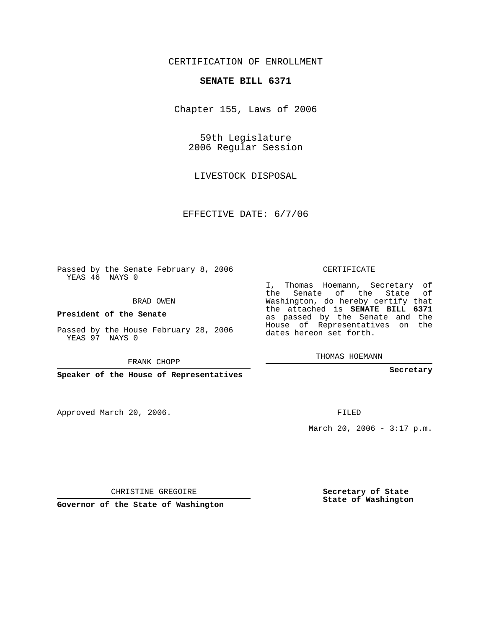## CERTIFICATION OF ENROLLMENT

## **SENATE BILL 6371**

Chapter 155, Laws of 2006

59th Legislature 2006 Regular Session

LIVESTOCK DISPOSAL

EFFECTIVE DATE: 6/7/06

Passed by the Senate February 8, 2006 YEAS 46 NAYS 0

BRAD OWEN

**President of the Senate**

Passed by the House February 28, 2006 YEAS 97 NAYS 0

FRANK CHOPP

**Speaker of the House of Representatives**

Approved March 20, 2006.

CERTIFICATE

I, Thomas Hoemann, Secretary of the Senate of the State of Washington, do hereby certify that the attached is **SENATE BILL 6371** as passed by the Senate and the House of Representatives on the dates hereon set forth.

THOMAS HOEMANN

**Secretary**

FILED

March 20, 2006 -  $3:17$  p.m.

CHRISTINE GREGOIRE

**Governor of the State of Washington**

**Secretary of State State of Washington**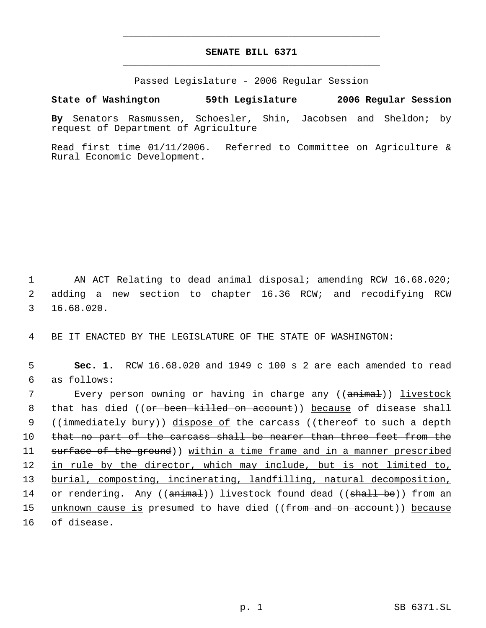## **SENATE BILL 6371** \_\_\_\_\_\_\_\_\_\_\_\_\_\_\_\_\_\_\_\_\_\_\_\_\_\_\_\_\_\_\_\_\_\_\_\_\_\_\_\_\_\_\_\_\_

\_\_\_\_\_\_\_\_\_\_\_\_\_\_\_\_\_\_\_\_\_\_\_\_\_\_\_\_\_\_\_\_\_\_\_\_\_\_\_\_\_\_\_\_\_

Passed Legislature - 2006 Regular Session

## **State of Washington 59th Legislature 2006 Regular Session**

**By** Senators Rasmussen, Schoesler, Shin, Jacobsen and Sheldon; by request of Department of Agriculture

Read first time 01/11/2006. Referred to Committee on Agriculture & Rural Economic Development.

 1 AN ACT Relating to dead animal disposal; amending RCW 16.68.020; 2 adding a new section to chapter 16.36 RCW; and recodifying RCW 3 16.68.020.

4 BE IT ENACTED BY THE LEGISLATURE OF THE STATE OF WASHINGTON:

 5 **Sec. 1.** RCW 16.68.020 and 1949 c 100 s 2 are each amended to read 6 as follows:

 7 Every person owning or having in charge any ((animal)) livestock 8 that has died ((or been killed on account)) because of disease shall 9 ((immediately bury)) dispose of the carcass ((thereof to such a depth 10 that no part of the carcass shall be nearer than three feet from the 11 surface of the ground)) within a time frame and in a manner prescribed 12 in rule by the director, which may include, but is not limited to, 13 burial, composting, incinerating, landfilling, natural decomposition, 14 or rendering. Any ((animal)) livestock found dead ((shall be)) from an 15 unknown cause is presumed to have died ((from and on account)) because 16 of disease.